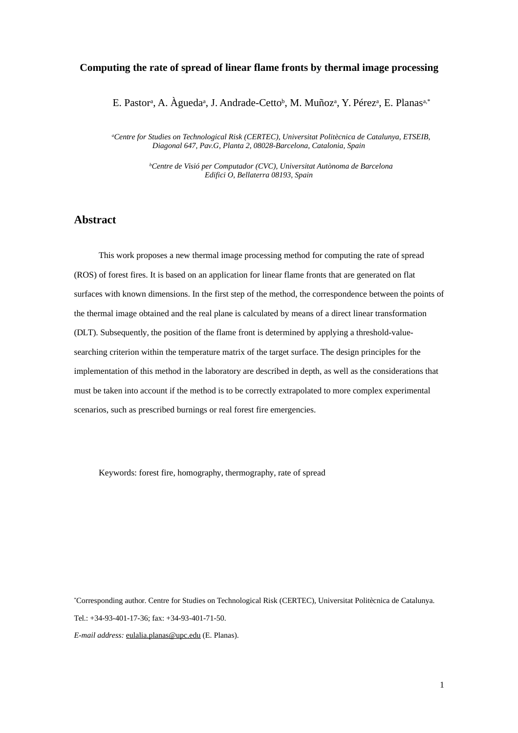### **Computing the rate of spread of linear flame fronts by thermal image processing**

E. Pastorª, A. Àguedaª, J. Andrade-Cetto♭, M. Muñozª, Y. Pérezª, E. Planasª.\*

*<sup>a</sup>Centre for Studies on Technological Risk (CERTEC), Universitat Politècnica de Catalunya, ETSEIB, Diagonal 647, Pav.G, Planta 2, 08028-Barcelona, Catalonia, Spain*

> *<sup>b</sup>Centre de Visió per Computador (CVC), Universitat Autònoma de Barcelona Edifici O, Bellaterra 08193, Spain*

# **Abstract**

This work proposes a new thermal image processing method for computing the rate of spread (ROS) of forest fires. It is based on an application for linear flame fronts that are generated on flat surfaces with known dimensions. In the first step of the method, the correspondence between the points of the thermal image obtained and the real plane is calculated by means of a direct linear transformation (DLT). Subsequently, the position of the flame front is determined by applying a threshold-valuesearching criterion within the temperature matrix of the target surface. The design principles for the implementation of this method in the laboratory are described in depth, as well as the considerations that must be taken into account if the method is to be correctly extrapolated to more complex experimental scenarios, such as prescribed burnings or real forest fire emergencies.

Keywords: forest fire, homography, thermography, rate of spread

\*Corresponding author. Centre for Studies on Technological Risk (CERTEC), Universitat Politècnica de Catalunya. Tel.: +34-93-401-17-36; fax: +34-93-401-71-50.

*E-mail address:* [eulalia.planas@upc.edu](mailto:eulalia.planas@upc.edu) (E. Planas).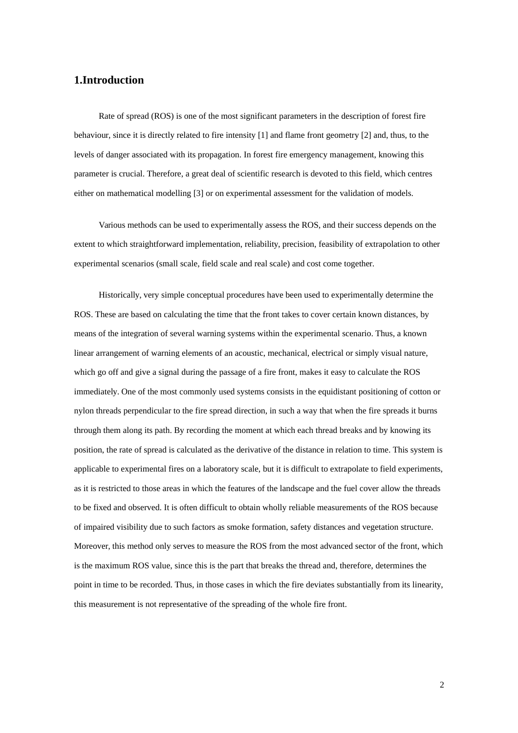# **1.Introduction**

Rate of spread (ROS) is one of the most significant parameters in the description of forest fire behaviour, since it is directly related to fire intensity [1] and flame front geometry [2] and, thus, to the levels of danger associated with its propagation. In forest fire emergency management, knowing this parameter is crucial. Therefore, a great deal of scientific research is devoted to this field, which centres either on mathematical modelling [3] or on experimental assessment for the validation of models.

Various methods can be used to experimentally assess the ROS, and their success depends on the extent to which straightforward implementation, reliability, precision, feasibility of extrapolation to other experimental scenarios (small scale, field scale and real scale) and cost come together.

Historically, very simple conceptual procedures have been used to experimentally determine the ROS. These are based on calculating the time that the front takes to cover certain known distances, by means of the integration of several warning systems within the experimental scenario. Thus, a known linear arrangement of warning elements of an acoustic, mechanical, electrical or simply visual nature, which go off and give a signal during the passage of a fire front, makes it easy to calculate the ROS immediately. One of the most commonly used systems consists in the equidistant positioning of cotton or nylon threads perpendicular to the fire spread direction, in such a way that when the fire spreads it burns through them along its path. By recording the moment at which each thread breaks and by knowing its position, the rate of spread is calculated as the derivative of the distance in relation to time. This system is applicable to experimental fires on a laboratory scale, but it is difficult to extrapolate to field experiments, as it is restricted to those areas in which the features of the landscape and the fuel cover allow the threads to be fixed and observed. It is often difficult to obtain wholly reliable measurements of the ROS because of impaired visibility due to such factors as smoke formation, safety distances and vegetation structure. Moreover, this method only serves to measure the ROS from the most advanced sector of the front, which is the maximum ROS value, since this is the part that breaks the thread and, therefore, determines the point in time to be recorded. Thus, in those cases in which the fire deviates substantially from its linearity, this measurement is not representative of the spreading of the whole fire front.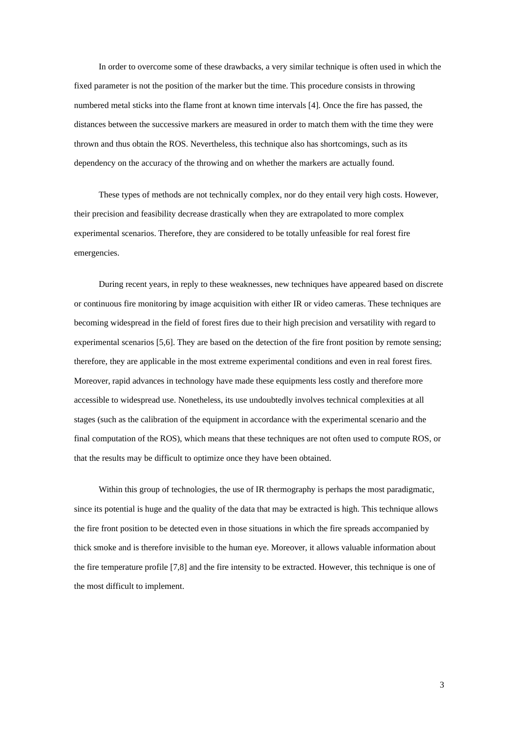In order to overcome some of these drawbacks, a very similar technique is often used in which the fixed parameter is not the position of the marker but the time. This procedure consists in throwing numbered metal sticks into the flame front at known time intervals [4]. Once the fire has passed, the distances between the successive markers are measured in order to match them with the time they were thrown and thus obtain the ROS. Nevertheless, this technique also has shortcomings, such as its dependency on the accuracy of the throwing and on whether the markers are actually found.

These types of methods are not technically complex, nor do they entail very high costs. However, their precision and feasibility decrease drastically when they are extrapolated to more complex experimental scenarios. Therefore, they are considered to be totally unfeasible for real forest fire emergencies.

During recent years, in reply to these weaknesses, new techniques have appeared based on discrete or continuous fire monitoring by image acquisition with either IR or video cameras. These techniques are becoming widespread in the field of forest fires due to their high precision and versatility with regard to experimental scenarios [5,6]. They are based on the detection of the fire front position by remote sensing; therefore, they are applicable in the most extreme experimental conditions and even in real forest fires. Moreover, rapid advances in technology have made these equipments less costly and therefore more accessible to widespread use. Nonetheless, its use undoubtedly involves technical complexities at all stages (such as the calibration of the equipment in accordance with the experimental scenario and the final computation of the ROS), which means that these techniques are not often used to compute ROS, or that the results may be difficult to optimize once they have been obtained.

Within this group of technologies, the use of IR thermography is perhaps the most paradigmatic, since its potential is huge and the quality of the data that may be extracted is high. This technique allows the fire front position to be detected even in those situations in which the fire spreads accompanied by thick smoke and is therefore invisible to the human eye. Moreover, it allows valuable information about the fire temperature profile [7,8] and the fire intensity to be extracted. However, this technique is one of the most difficult to implement.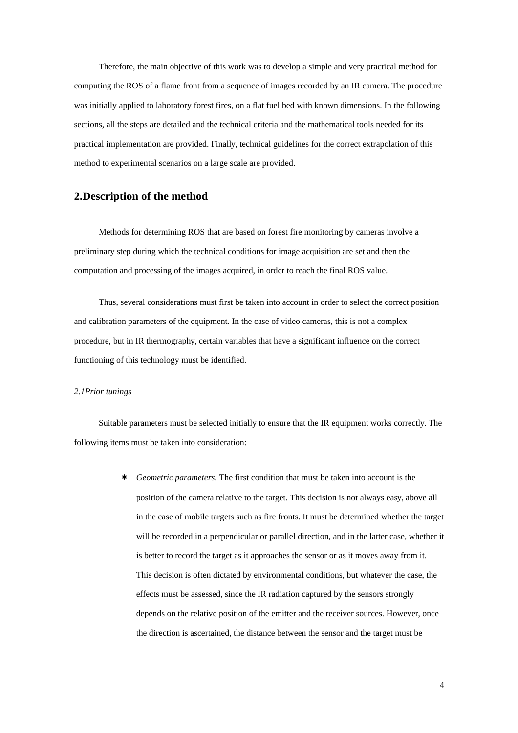Therefore, the main objective of this work was to develop a simple and very practical method for computing the ROS of a flame front from a sequence of images recorded by an IR camera. The procedure was initially applied to laboratory forest fires, on a flat fuel bed with known dimensions. In the following sections, all the steps are detailed and the technical criteria and the mathematical tools needed for its practical implementation are provided. Finally, technical guidelines for the correct extrapolation of this method to experimental scenarios on a large scale are provided.

## **2.Description of the method**

Methods for determining ROS that are based on forest fire monitoring by cameras involve a preliminary step during which the technical conditions for image acquisition are set and then the computation and processing of the images acquired, in order to reach the final ROS value.

Thus, several considerations must first be taken into account in order to select the correct position and calibration parameters of the equipment. In the case of video cameras, this is not a complex procedure, but in IR thermography, certain variables that have a significant influence on the correct functioning of this technology must be identified.

#### *2.1Prior tunings*

Suitable parameters must be selected initially to ensure that the IR equipment works correctly. The following items must be taken into consideration:

> *Geometric parameters.* The first condition that must be taken into account is the position of the camera relative to the target. This decision is not always easy, above all in the case of mobile targets such as fire fronts. It must be determined whether the target will be recorded in a perpendicular or parallel direction, and in the latter case, whether it is better to record the target as it approaches the sensor or as it moves away from it. This decision is often dictated by environmental conditions, but whatever the case, the effects must be assessed, since the IR radiation captured by the sensors strongly depends on the relative position of the emitter and the receiver sources. However, once the direction is ascertained, the distance between the sensor and the target must be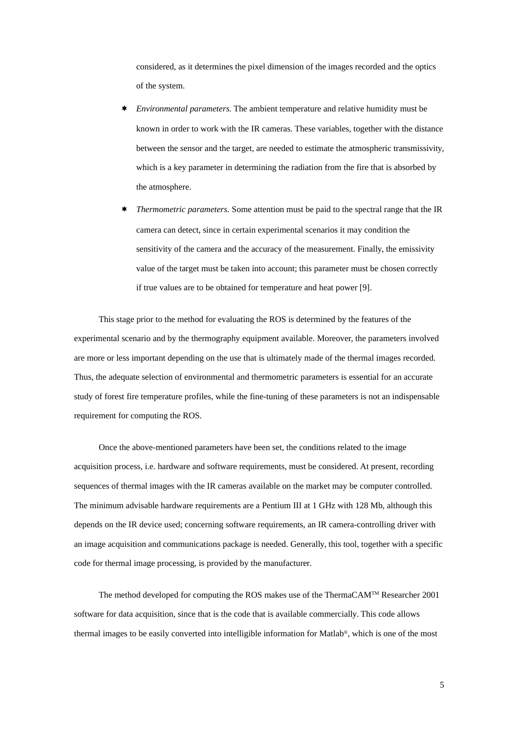considered, as it determines the pixel dimension of the images recorded and the optics of the system.

- *Environmental parameters.* The ambient temperature and relative humidity must be known in order to work with the IR cameras. These variables, together with the distance between the sensor and the target, are needed to estimate the atmospheric transmissivity, which is a key parameter in determining the radiation from the fire that is absorbed by the atmosphere.
- *Thermometric parameters.* Some attention must be paid to the spectral range that the IR camera can detect, since in certain experimental scenarios it may condition the sensitivity of the camera and the accuracy of the measurement. Finally, the emissivity value of the target must be taken into account; this parameter must be chosen correctly if true values are to be obtained for temperature and heat power [9].

This stage prior to the method for evaluating the ROS is determined by the features of the experimental scenario and by the thermography equipment available. Moreover, the parameters involved are more or less important depending on the use that is ultimately made of the thermal images recorded. Thus, the adequate selection of environmental and thermometric parameters is essential for an accurate study of forest fire temperature profiles, while the fine-tuning of these parameters is not an indispensable requirement for computing the ROS.

Once the above-mentioned parameters have been set, the conditions related to the image acquisition process, i.e. hardware and software requirements, must be considered. At present, recording sequences of thermal images with the IR cameras available on the market may be computer controlled. The minimum advisable hardware requirements are a Pentium III at 1 GHz with 128 Mb, although this depends on the IR device used; concerning software requirements, an IR camera-controlling driver with an image acquisition and communications package is needed. Generally, this tool, together with a specific code for thermal image processing, is provided by the manufacturer.

The method developed for computing the ROS makes use of the ThermaCAMTM Researcher 2001 software for data acquisition, since that is the code that is available commercially. This code allows thermal images to be easily converted into intelligible information for Matlab ®, which is one of the most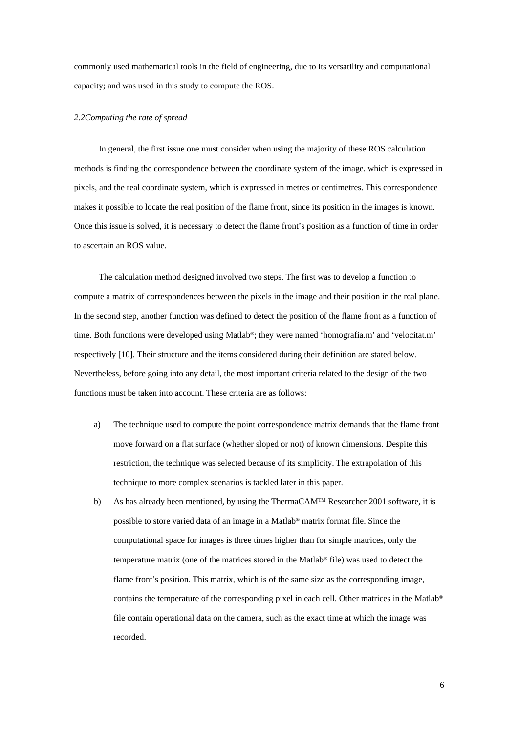commonly used mathematical tools in the field of engineering, due to its versatility and computational capacity; and was used in this study to compute the ROS.

#### *2.2Computing the rate of spread*

In general, the first issue one must consider when using the majority of these ROS calculation methods is finding the correspondence between the coordinate system of the image, which is expressed in pixels, and the real coordinate system, which is expressed in metres or centimetres. This correspondence makes it possible to locate the real position of the flame front, since its position in the images is known. Once this issue is solved, it is necessary to detect the flame front's position as a function of time in order to ascertain an ROS value.

The calculation method designed involved two steps. The first was to develop a function to compute a matrix of correspondences between the pixels in the image and their position in the real plane. In the second step, another function was defined to detect the position of the flame front as a function of time. Both functions were developed using Matlab ®; they were named 'homografia.m' and 'velocitat.m' respectively [10]. Their structure and the items considered during their definition are stated below. Nevertheless, before going into any detail, the most important criteria related to the design of the two functions must be taken into account. These criteria are as follows:

- a) The technique used to compute the point correspondence matrix demands that the flame front move forward on a flat surface (whether sloped or not) of known dimensions. Despite this restriction, the technique was selected because of its simplicity. The extrapolation of this technique to more complex scenarios is tackled later in this paper.
- b) As has already been mentioned, by using the ThermaCAM<sup>TM</sup> Researcher 2001 software, it is possible to store varied data of an image in a Matlab ® matrix format file. Since the computational space for images is three times higher than for simple matrices, only the temperature matrix (one of the matrices stored in the Matlab ® file) was used to detect the flame front's position. This matrix, which is of the same size as the corresponding image, contains the temperature of the corresponding pixel in each cell. Other matrices in the Matlab<sup>®</sup> file contain operational data on the camera, such as the exact time at which the image was recorded.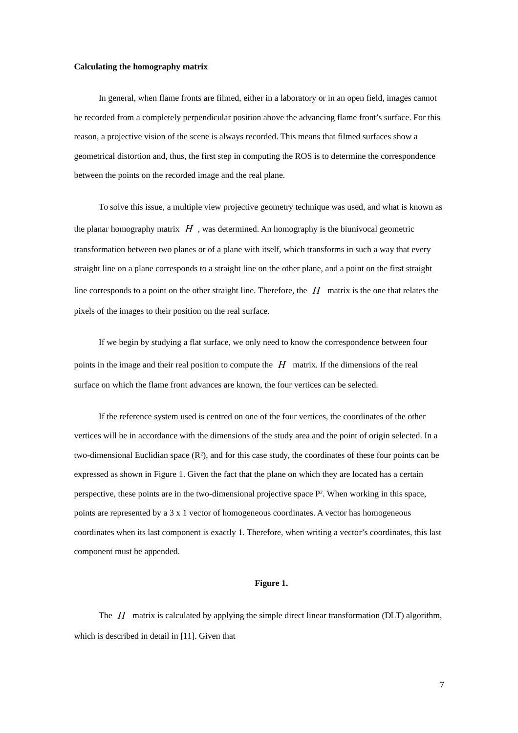#### **Calculating the homography matrix**

In general, when flame fronts are filmed, either in a laboratory or in an open field, images cannot be recorded from a completely perpendicular position above the advancing flame front's surface. For this reason, a projective vision of the scene is always recorded. This means that filmed surfaces show a geometrical distortion and, thus, the first step in computing the ROS is to determine the correspondence between the points on the recorded image and the real plane.

To solve this issue, a multiple view projective geometry technique was used, and what is known as the planar homography matrix  $H$ , was determined. An homography is the biunivocal geometric transformation between two planes or of a plane with itself, which transforms in such a way that every straight line on a plane corresponds to a straight line on the other plane, and a point on the first straight line corresponds to a point on the other straight line. Therefore, the *H* matrix is the one that relates the pixels of the images to their position on the real surface.

If we begin by studying a flat surface, we only need to know the correspondence between four points in the image and their real position to compute the *H* matrix. If the dimensions of the real surface on which the flame front advances are known, the four vertices can be selected.

If the reference system used is centred on one of the four vertices, the coordinates of the other vertices will be in accordance with the dimensions of the study area and the point of origin selected. In a two-dimensional Euclidian space  $(R^2)$ , and for this case study, the coordinates of these four points can be expressed as shown in Figure 1. Given the fact that the plane on which they are located has a certain perspective, these points are in the two-dimensional projective space  $P^2$ . When working in this space, points are represented by a 3 x 1 vector of homogeneous coordinates. A vector has homogeneous coordinates when its last component is exactly 1. Therefore, when writing a vector's coordinates, this last component must be appended.

#### **Figure 1.**

The *H* matrix is calculated by applying the simple direct linear transformation (DLT) algorithm, which is described in detail in [11]. Given that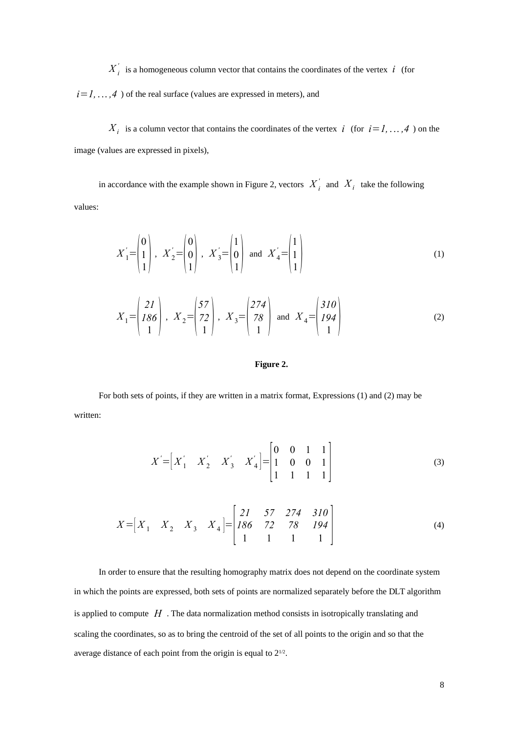$X_i'$  is a homogeneous column vector that contains the coordinates of the vertex *i* (for  $i=1, \ldots, 4$ ) of the real surface (values are expressed in meters), and

 $X_i$  is a column vector that contains the coordinates of the vertex *i* (for  $i = 1, \ldots, 4$ ) on the image (values are expressed in pixels),

in accordance with the example shown in Figure 2, vectors  $X_i'$  and  $X_i$  take the following values:

$$
X_{1}^{'} = \begin{pmatrix} 0 \\ 1 \\ 1 \end{pmatrix}, \quad X_{2}^{'} = \begin{pmatrix} 0 \\ 0 \\ 1 \end{pmatrix}, \quad X_{3}^{'} = \begin{pmatrix} 1 \\ 0 \\ 1 \end{pmatrix} \quad \text{and} \quad X_{4}^{'} = \begin{pmatrix} 1 \\ 1 \\ 1 \end{pmatrix} \tag{1}
$$

$$
X_1 = \begin{pmatrix} 2I \\ 186 \\ 1 \end{pmatrix}, X_2 = \begin{pmatrix} 57 \\ 72 \\ 1 \end{pmatrix}, X_3 = \begin{pmatrix} 274 \\ 78 \\ 1 \end{pmatrix} \text{ and } X_4 = \begin{pmatrix} 310 \\ 194 \\ 1 \end{pmatrix}
$$
 (2)

#### **Figure 2.**

For both sets of points, if they are written in a matrix format, Expressions (1) and (2) may be written:

$$
X = \begin{bmatrix} X_1' & X_2' & X_3' & X_4' \end{bmatrix} = \begin{bmatrix} 0 & 0 & 1 & 1 \\ 1 & 0 & 0 & 1 \\ 1 & 1 & 1 & 1 \end{bmatrix}
$$
 (3)

$$
X = \begin{bmatrix} X_1 & X_2 & X_3 & X_4 \end{bmatrix} = \begin{bmatrix} 2I & 57 & 274 & 310 \\ 186 & 72 & 78 & 194 \\ 1 & 1 & 1 & 1 \end{bmatrix}
$$
 (4)

In order to ensure that the resulting homography matrix does not depend on the coordinate system in which the points are expressed, both sets of points are normalized separately before the DLT algorithm is applied to compute *H* . The data normalization method consists in isotropically translating and scaling the coordinates, so as to bring the centroid of the set of all points to the origin and so that the average distance of each point from the origin is equal to  $2^{1/2}$ .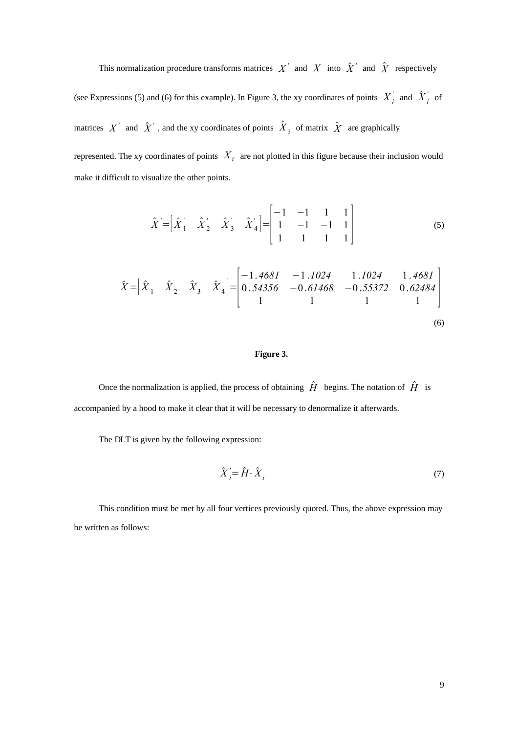This normalization procedure transforms matrices  $X'$  and  $X$  into  $\hat{X}'$  and  $\hat{X}$  respectively (see Expressions (5) and (6) for this example). In Figure 3, the xy coordinates of points  $X'_i$  and  $\hat{X}'_i$  of matrices  $X'$  and  $\hat{X}'$ , and the xy coordinates of points  $\hat{X}_i$  of matrix  $\hat{X}$  are graphically represented. The xy coordinates of points  $X_i$  are not plotted in this figure because their inclusion would

make it difficult to visualize the other points.

$$
\hat{X} = \begin{bmatrix} \hat{X}'_1 & \hat{X}'_2 & \hat{X}'_3 & \hat{X}'_4 \end{bmatrix} = \begin{bmatrix} -1 & -1 & 1 & 1 \\ 1 & -1 & -1 & 1 \\ 1 & 1 & 1 & 1 \end{bmatrix}
$$
(5)

$$
\hat{X} = \begin{bmatrix} \hat{X}_1 & \hat{X}_2 & \hat{X}_3 & \hat{X}_4 \end{bmatrix} = \begin{bmatrix} -1.4681 & -1.1024 & 1.1024 & 1.4681 \\ 0.54356 & -0.61468 & -0.55372 & 0.62484 \\ 1 & 1 & 1 & 1 \end{bmatrix}
$$
\n(6)

### **Figure 3.**

Once the normalization is applied, the process of obtaining  $\hat{H}$  begins. The notation of  $\hat{H}$  is accompanied by a hood to make it clear that it will be necessary to denormalize it afterwards.

The DLT is given by the following expression:

$$
\hat{\boldsymbol{X}}_i = \hat{\boldsymbol{H}} \cdot \hat{\boldsymbol{X}}_i \tag{7}
$$

This condition must be met by all four vertices previously quoted. Thus, the above expression may be written as follows: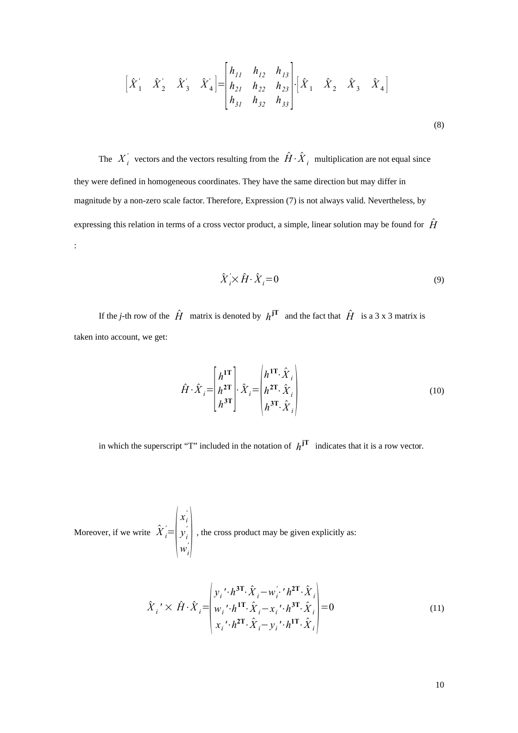$$
\begin{bmatrix} \hat{X}'_1 & \hat{X}'_2 & \hat{X}'_3 & \hat{X}'_4 \end{bmatrix} = \begin{bmatrix} h_{11} & h_{12} & h_{13} \\ h_{21} & h_{22} & h_{23} \\ h_{31} & h_{32} & h_{33} \end{bmatrix} \cdot \begin{bmatrix} \hat{X}_1 & \hat{X}_2 & \hat{X}_3 & \hat{X}_4 \end{bmatrix}
$$
\n(8)

The  $X_i^{'}$  vectors and the vectors resulting from the  $\hat{H} \cdot \hat{X}_i$  multiplication are not equal since they were defined in homogeneous coordinates. They have the same direction but may differ in magnitude by a non-zero scale factor. Therefore, Expression (7) is not always valid. Nevertheless, by expressing this relation in terms of a cross vector product, a simple, linear solution may be found for *H* :

$$
\hat{X}'_i \times \hat{H} \cdot \hat{X}_i = 0 \tag{9}
$$

If the *j*-th row of the  $\hat{H}$  matrix is denoted by  $h^{jT}$  and the fact that  $\hat{H}$  is a 3 x 3 matrix is taken into account, we get:

$$
\hat{H} \cdot \hat{X}_i = \begin{bmatrix} h^{1T} \\ h^{2T} \\ h^{3T} \end{bmatrix} \cdot \hat{X}_i = \begin{bmatrix} h^{1T} \cdot \hat{X}_i \\ h^{2T} \cdot \hat{X}_i \\ h^{3T} \cdot \hat{X}_i \end{bmatrix}
$$
\n(10)

in which the superscript "T" included in the notation of  $h^{jT}$  indicates that it is a row vector.

Moreover, if we write 
$$
\hat{X}'_i = \begin{pmatrix} x'_i \\ y'_i \\ w'_i \end{pmatrix}
$$
, the cross product may be given explicitly as:

$$
\hat{X}_i' \times \hat{H} \cdot \hat{X}_i = \begin{vmatrix} y_i' \cdot h^{3\mathbf{T}} \cdot \hat{X}_i - w_i' \cdot h^{2\mathbf{T}} \cdot \hat{X}_i \\ w_i' \cdot h^{1\mathbf{T}} \cdot \hat{X}_i - x_i' \cdot h^{3\mathbf{T}} \cdot \hat{X}_i \\ x_i' \cdot h^{2\mathbf{T}} \cdot \hat{X}_i - y_i' \cdot h^{1\mathbf{T}} \cdot \hat{X}_i \end{vmatrix} = 0
$$
\n(11)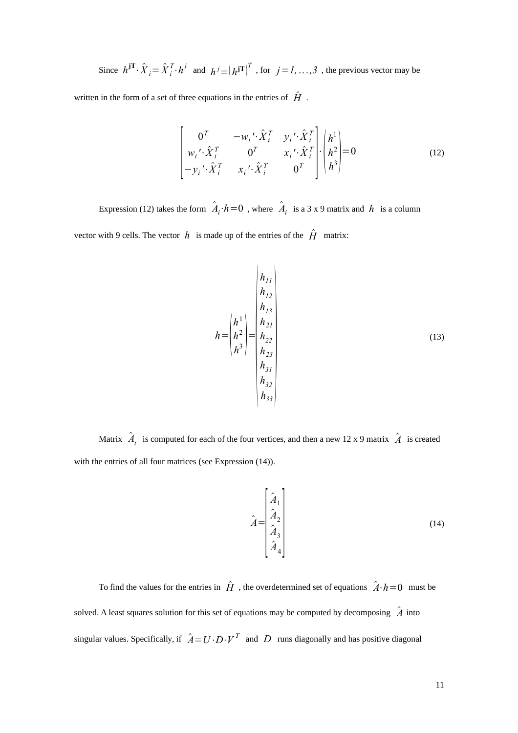Since  $h^{jT} \cdot \hat{X}_i = \hat{X}_i^T$  $\int_{i}^{T} \cdot h^{j}$  and  $h^{j} = (h^{j})^{T}$ , for  $j = 1, ..., 3$ , the previous vector may be

written in the form of a set of three equations in the entries of  $\hat{H}$ .

$$
\begin{bmatrix}\n0^T & -w_i' \cdot \hat{X}_i^T & y_i' \cdot \hat{X}_i^T \\
w_i' \cdot \hat{X}_i^T & 0^T & x_i' \cdot \hat{X}_i^T \\
-y_i' \cdot \hat{X}_i^T & x_i' \cdot \hat{X}_i^T & 0^T\n\end{bmatrix} \cdot \begin{bmatrix}\nh^1 \\
h^2 \\
h^3\n\end{bmatrix} = 0
$$
\n(12)

Expression (12) takes the form  $\hat{A}_i \cdot h = 0$ , where  $\hat{A}_i$  is a 3 x 9 matrix and  $h$  is a column

vector with 9 cells. The vector  $h$  is made up of the entries of the  $\hat{H}$  matrix:

$$
h = \begin{pmatrix} h_1 \\ h_2 \\ h_3 \\ h_4 \end{pmatrix} = \begin{pmatrix} h_{11} \\ h_{12} \\ h_{21} \\ h_{22} \\ h_{23} \\ h_{31} \\ h_{32} \\ h_{33} \end{pmatrix}
$$
 (13)

Matrix  $\hat{A}_i$  is computed for each of the four vertices, and then a new 12 x 9 matrix  $\hat{A}$  is created with the entries of all four matrices (see Expression (14)).

$$
\hat{A} = \begin{bmatrix} \hat{A}_1 \\ \hat{A}_2 \\ \hat{A}_3 \\ \hat{A}_4 \end{bmatrix} \tag{14}
$$

To find the values for the entries in  $\hat{H}$ , the overdetermined set of equations  $\hat{A} \cdot h = 0$  must be solved. A least squares solution for this set of equations may be computed by decomposing  $\hat{A}$  into singular values. Specifically, if  $\hat{A} = U \cdot D \cdot V^T$  and *D* runs diagonally and has positive diagonal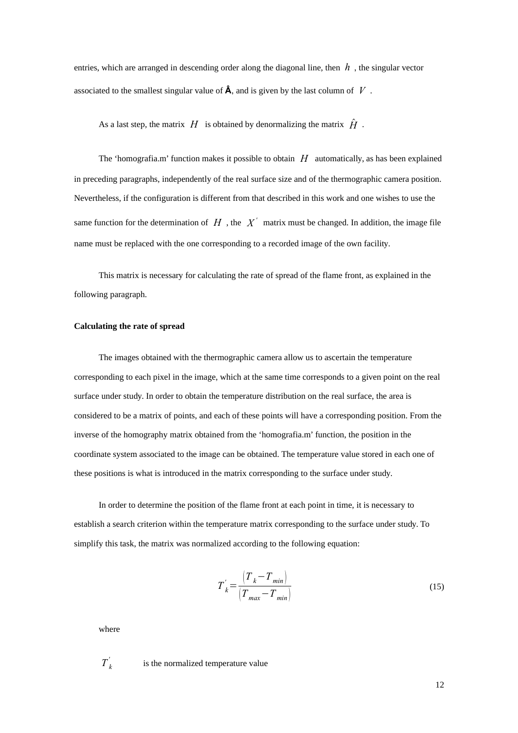entries, which are arranged in descending order along the diagonal line, then *h* , the singular vector associated to the smallest singular value of  $\hat{A}$ , and is given by the last column of  $V$ .

As a last step, the matrix  $H$  is obtained by denormalizing the matrix  $\hat{H}$ .

The 'homografia.m' function makes it possible to obtain  $H$  automatically, as has been explained in preceding paragraphs, independently of the real surface size and of the thermographic camera position. Nevertheless, if the configuration is different from that described in this work and one wishes to use the same function for the determination of  $H$ , the  $X'$  matrix must be changed. In addition, the image file name must be replaced with the one corresponding to a recorded image of the own facility.

This matrix is necessary for calculating the rate of spread of the flame front, as explained in the following paragraph.

#### **Calculating the rate of spread**

The images obtained with the thermographic camera allow us to ascertain the temperature corresponding to each pixel in the image, which at the same time corresponds to a given point on the real surface under study. In order to obtain the temperature distribution on the real surface, the area is considered to be a matrix of points, and each of these points will have a corresponding position. From the inverse of the homography matrix obtained from the 'homografia.m' function, the position in the coordinate system associated to the image can be obtained. The temperature value stored in each one of these positions is what is introduced in the matrix corresponding to the surface under study.

In order to determine the position of the flame front at each point in time, it is necessary to establish a search criterion within the temperature matrix corresponding to the surface under study. To simplify this task, the matrix was normalized according to the following equation:

$$
T_{k} = \frac{\left(T_{k} - T_{min}\right)}{\left(T_{max} - T_{min}\right)}\tag{15}
$$

where

 $T_k^{'}$ 

is the normalized temperature value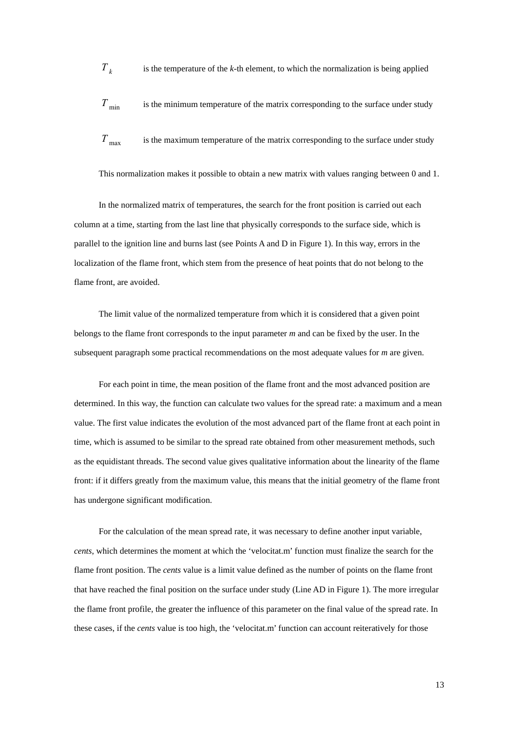$T_k$ is the temperature of the *k*-th element, to which the normalization is being applied

- *T* min is the minimum temperature of the matrix corresponding to the surface under study
- *T* max is the maximum temperature of the matrix corresponding to the surface under study

This normalization makes it possible to obtain a new matrix with values ranging between 0 and 1.

In the normalized matrix of temperatures, the search for the front position is carried out each column at a time, starting from the last line that physically corresponds to the surface side, which is parallel to the ignition line and burns last (see Points A and D in Figure 1). In this way, errors in the localization of the flame front, which stem from the presence of heat points that do not belong to the flame front, are avoided.

The limit value of the normalized temperature from which it is considered that a given point belongs to the flame front corresponds to the input parameter *m* and can be fixed by the user. In the subsequent paragraph some practical recommendations on the most adequate values for *m* are given.

For each point in time, the mean position of the flame front and the most advanced position are determined. In this way, the function can calculate two values for the spread rate: a maximum and a mean value. The first value indicates the evolution of the most advanced part of the flame front at each point in time, which is assumed to be similar to the spread rate obtained from other measurement methods, such as the equidistant threads. The second value gives qualitative information about the linearity of the flame front: if it differs greatly from the maximum value, this means that the initial geometry of the flame front has undergone significant modification.

For the calculation of the mean spread rate, it was necessary to define another input variable, *cents*, which determines the moment at which the 'velocitat.m' function must finalize the search for the flame front position. The *cents* value is a limit value defined as the number of points on the flame front that have reached the final position on the surface under study (Line AD in Figure 1). The more irregular the flame front profile, the greater the influence of this parameter on the final value of the spread rate. In these cases, if the *cents* value is too high, the 'velocitat.m' function can account reiteratively for those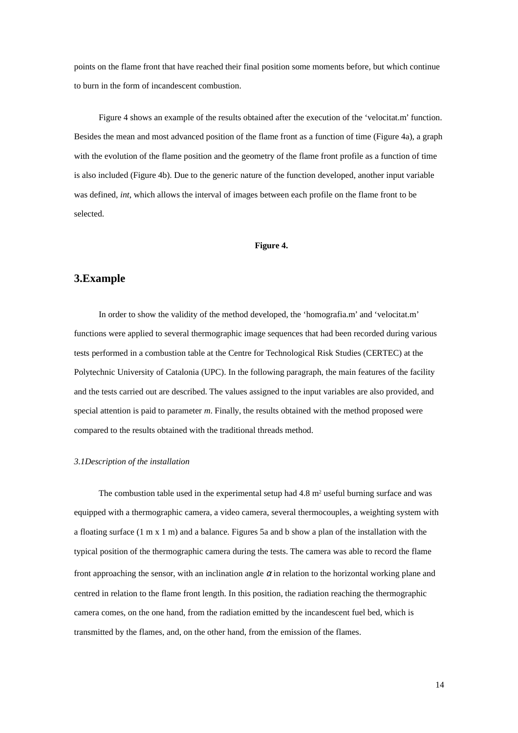points on the flame front that have reached their final position some moments before, but which continue to burn in the form of incandescent combustion.

Figure 4 shows an example of the results obtained after the execution of the 'velocitat.m' function. Besides the mean and most advanced position of the flame front as a function of time (Figure 4a), a graph with the evolution of the flame position and the geometry of the flame front profile as a function of time is also included (Figure 4b). Due to the generic nature of the function developed, another input variable was defined, *int*, which allows the interval of images between each profile on the flame front to be selected.

### **Figure 4.**

### **3.Example**

In order to show the validity of the method developed, the 'homografia.m' and 'velocitat.m' functions were applied to several thermographic image sequences that had been recorded during various tests performed in a combustion table at the Centre for Technological Risk Studies (CERTEC) at the Polytechnic University of Catalonia (UPC). In the following paragraph, the main features of the facility and the tests carried out are described. The values assigned to the input variables are also provided, and special attention is paid to parameter *m*. Finally, the results obtained with the method proposed were compared to the results obtained with the traditional threads method.

### *3.1Description of the installation*

The combustion table used in the experimental setup had  $4.8 \text{ m}^2$  useful burning surface and was equipped with a thermographic camera, a video camera, several thermocouples, a weighting system with a floating surface (1 m x 1 m) and a balance. Figures 5a and b show a plan of the installation with the typical position of the thermographic camera during the tests. The camera was able to record the flame front approaching the sensor, with an inclination angle  $\alpha$  in relation to the horizontal working plane and centred in relation to the flame front length. In this position, the radiation reaching the thermographic camera comes, on the one hand, from the radiation emitted by the incandescent fuel bed, which is transmitted by the flames, and, on the other hand, from the emission of the flames.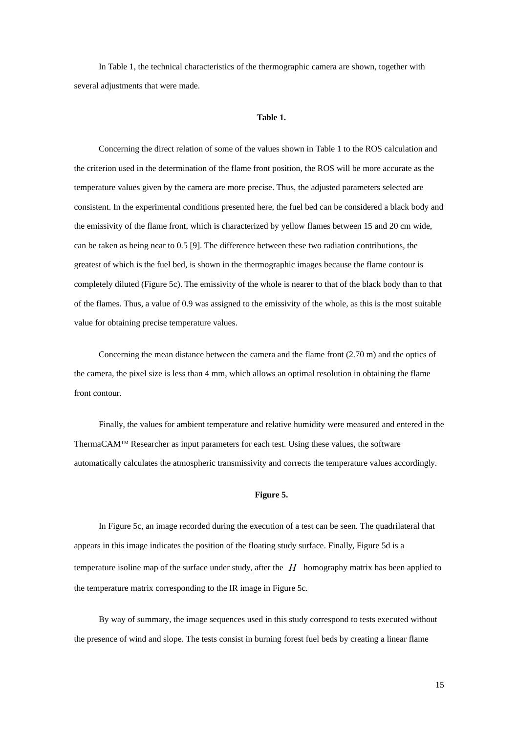In Table 1, the technical characteristics of the thermographic camera are shown, together with several adjustments that were made.

#### **Table 1.**

Concerning the direct relation of some of the values shown in Table 1 to the ROS calculation and the criterion used in the determination of the flame front position, the ROS will be more accurate as the temperature values given by the camera are more precise. Thus, the adjusted parameters selected are consistent. In the experimental conditions presented here, the fuel bed can be considered a black body and the emissivity of the flame front, which is characterized by yellow flames between 15 and 20 cm wide, can be taken as being near to 0.5 [9]. The difference between these two radiation contributions, the greatest of which is the fuel bed, is shown in the thermographic images because the flame contour is completely diluted (Figure 5c). The emissivity of the whole is nearer to that of the black body than to that of the flames. Thus, a value of 0.9 was assigned to the emissivity of the whole, as this is the most suitable value for obtaining precise temperature values.

Concerning the mean distance between the camera and the flame front (2.70 m) and the optics of the camera, the pixel size is less than 4 mm, which allows an optimal resolution in obtaining the flame front contour.

Finally, the values for ambient temperature and relative humidity were measured and entered in the ThermaCAMTM Researcher as input parameters for each test. Using these values, the software automatically calculates the atmospheric transmissivity and corrects the temperature values accordingly.

### **Figure 5.**

In Figure 5c, an image recorded during the execution of a test can be seen. The quadrilateral that appears in this image indicates the position of the floating study surface. Finally, Figure 5d is a temperature isoline map of the surface under study, after the *H* homography matrix has been applied to the temperature matrix corresponding to the IR image in Figure 5c.

By way of summary, the image sequences used in this study correspond to tests executed without the presence of wind and slope. The tests consist in burning forest fuel beds by creating a linear flame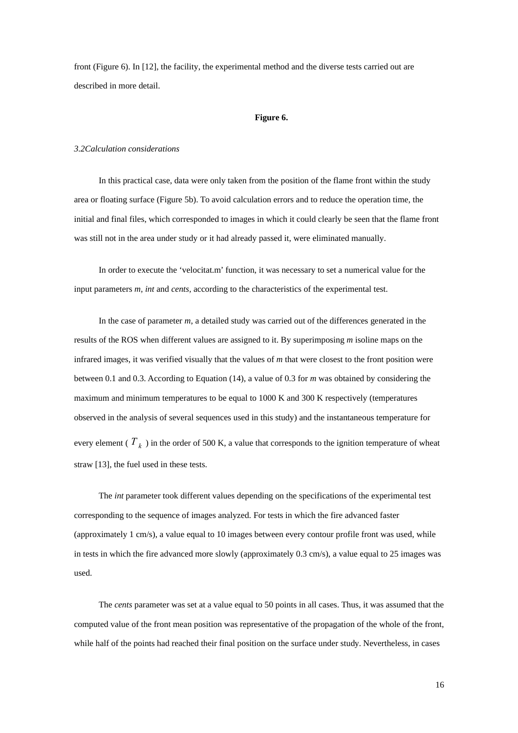front (Figure 6). In [12], the facility, the experimental method and the diverse tests carried out are described in more detail.

#### **Figure 6.**

#### *3.2Calculation considerations*

In this practical case, data were only taken from the position of the flame front within the study area or floating surface (Figure 5b). To avoid calculation errors and to reduce the operation time, the initial and final files, which corresponded to images in which it could clearly be seen that the flame front was still not in the area under study or it had already passed it, were eliminated manually.

In order to execute the 'velocitat.m' function, it was necessary to set a numerical value for the input parameters *m, int* and *cents,* according to the characteristics of the experimental test.

In the case of parameter *m*, a detailed study was carried out of the differences generated in the results of the ROS when different values are assigned to it. By superimposing *m* isoline maps on the infrared images, it was verified visually that the values of *m* that were closest to the front position were between 0.1 and 0.3. According to Equation (14), a value of 0.3 for *m* was obtained by considering the maximum and minimum temperatures to be equal to 1000 K and 300 K respectively (temperatures observed in the analysis of several sequences used in this study) and the instantaneous temperature for every element ( $T_k$ ) in the order of 500 K, a value that corresponds to the ignition temperature of wheat straw [13], the fuel used in these tests.

The *int* parameter took different values depending on the specifications of the experimental test corresponding to the sequence of images analyzed. For tests in which the fire advanced faster (approximately 1 cm/s), a value equal to 10 images between every contour profile front was used, while in tests in which the fire advanced more slowly (approximately 0.3 cm/s), a value equal to 25 images was used.

The *cents* parameter was set at a value equal to 50 points in all cases. Thus, it was assumed that the computed value of the front mean position was representative of the propagation of the whole of the front, while half of the points had reached their final position on the surface under study. Nevertheless, in cases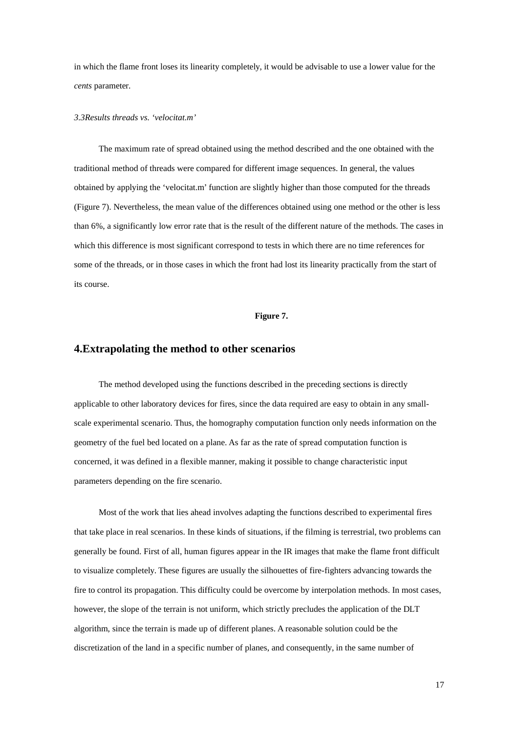in which the flame front loses its linearity completely, it would be advisable to use a lower value for the *cents* parameter.

#### *3.3Results threads vs. 'velocitat.m'*

The maximum rate of spread obtained using the method described and the one obtained with the traditional method of threads were compared for different image sequences. In general, the values obtained by applying the 'velocitat.m' function are slightly higher than those computed for the threads (Figure 7). Nevertheless, the mean value of the differences obtained using one method or the other is less than 6%, a significantly low error rate that is the result of the different nature of the methods. The cases in which this difference is most significant correspond to tests in which there are no time references for some of the threads, or in those cases in which the front had lost its linearity practically from the start of its course.

#### **Figure 7.**

### **4.Extrapolating the method to other scenarios**

The method developed using the functions described in the preceding sections is directly applicable to other laboratory devices for fires, since the data required are easy to obtain in any smallscale experimental scenario. Thus, the homography computation function only needs information on the geometry of the fuel bed located on a plane. As far as the rate of spread computation function is concerned, it was defined in a flexible manner, making it possible to change characteristic input parameters depending on the fire scenario.

Most of the work that lies ahead involves adapting the functions described to experimental fires that take place in real scenarios. In these kinds of situations, if the filming is terrestrial, two problems can generally be found. First of all, human figures appear in the IR images that make the flame front difficult to visualize completely. These figures are usually the silhouettes of fire-fighters advancing towards the fire to control its propagation. This difficulty could be overcome by interpolation methods. In most cases, however, the slope of the terrain is not uniform, which strictly precludes the application of the DLT algorithm, since the terrain is made up of different planes. A reasonable solution could be the discretization of the land in a specific number of planes, and consequently, in the same number of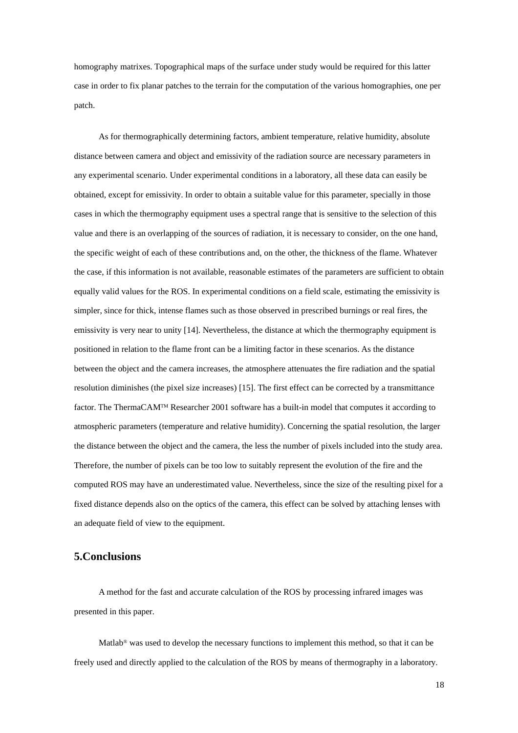homography matrixes. Topographical maps of the surface under study would be required for this latter case in order to fix planar patches to the terrain for the computation of the various homographies, one per patch.

As for thermographically determining factors, ambient temperature, relative humidity, absolute distance between camera and object and emissivity of the radiation source are necessary parameters in any experimental scenario. Under experimental conditions in a laboratory, all these data can easily be obtained, except for emissivity. In order to obtain a suitable value for this parameter, specially in those cases in which the thermography equipment uses a spectral range that is sensitive to the selection of this value and there is an overlapping of the sources of radiation, it is necessary to consider, on the one hand, the specific weight of each of these contributions and, on the other, the thickness of the flame. Whatever the case, if this information is not available, reasonable estimates of the parameters are sufficient to obtain equally valid values for the ROS. In experimental conditions on a field scale, estimating the emissivity is simpler, since for thick, intense flames such as those observed in prescribed burnings or real fires, the emissivity is very near to unity [14]. Nevertheless, the distance at which the thermography equipment is positioned in relation to the flame front can be a limiting factor in these scenarios. As the distance between the object and the camera increases, the atmosphere attenuates the fire radiation and the spatial resolution diminishes (the pixel size increases) [15]. The first effect can be corrected by a transmittance factor. The ThermaCAM<sup>TM</sup> Researcher 2001 software has a built-in model that computes it according to atmospheric parameters (temperature and relative humidity). Concerning the spatial resolution, the larger the distance between the object and the camera, the less the number of pixels included into the study area. Therefore, the number of pixels can be too low to suitably represent the evolution of the fire and the computed ROS may have an underestimated value. Nevertheless, since the size of the resulting pixel for a fixed distance depends also on the optics of the camera, this effect can be solved by attaching lenses with an adequate field of view to the equipment.

# **5.Conclusions**

A method for the fast and accurate calculation of the ROS by processing infrared images was presented in this paper.

Matlab ® was used to develop the necessary functions to implement this method, so that it can be freely used and directly applied to the calculation of the ROS by means of thermography in a laboratory.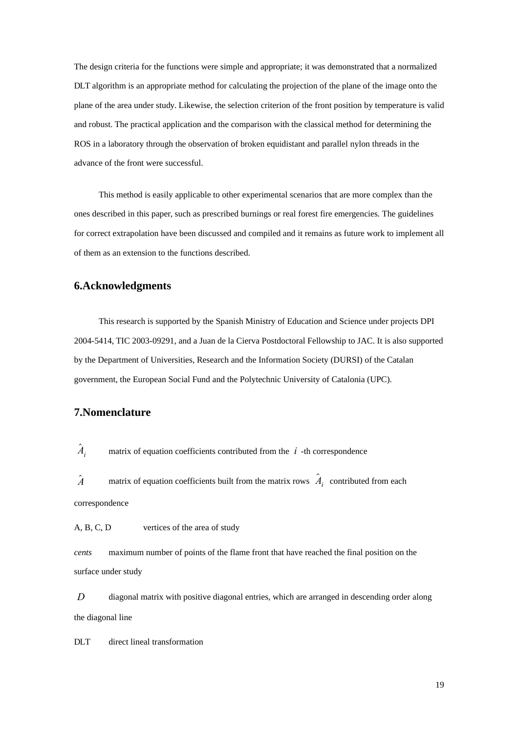The design criteria for the functions were simple and appropriate; it was demonstrated that a normalized DLT algorithm is an appropriate method for calculating the projection of the plane of the image onto the plane of the area under study. Likewise, the selection criterion of the front position by temperature is valid and robust. The practical application and the comparison with the classical method for determining the ROS in a laboratory through the observation of broken equidistant and parallel nylon threads in the advance of the front were successful.

This method is easily applicable to other experimental scenarios that are more complex than the ones described in this paper, such as prescribed burnings or real forest fire emergencies. The guidelines for correct extrapolation have been discussed and compiled and it remains as future work to implement all of them as an extension to the functions described.

# **6.Acknowledgments**

This research is supported by the Spanish Ministry of Education and Science under projects DPI 2004-5414, TIC 2003-09291, and a Juan de la Cierva Postdoctoral Fellowship to JAC. It is also supported by the Department of Universities, Research and the Information Society (DURSI) of the Catalan government, the European Social Fund and the Polytechnic University of Catalonia (UPC).

### **7.Nomenclature**

 $\hat{A}_i$ matrix of equation coefficients contributed from the  $i$  -th correspondence

 $\hat{A}$  matrix of equation coefficients built from the matrix rows  $\hat{A}$  contributed from each correspondence

A, B, C, D vertices of the area of study

*cents* maximum number of points of the flame front that have reached the final position on the surface under study

*D* diagonal matrix with positive diagonal entries, which are arranged in descending order along the diagonal line

DLT direct lineal transformation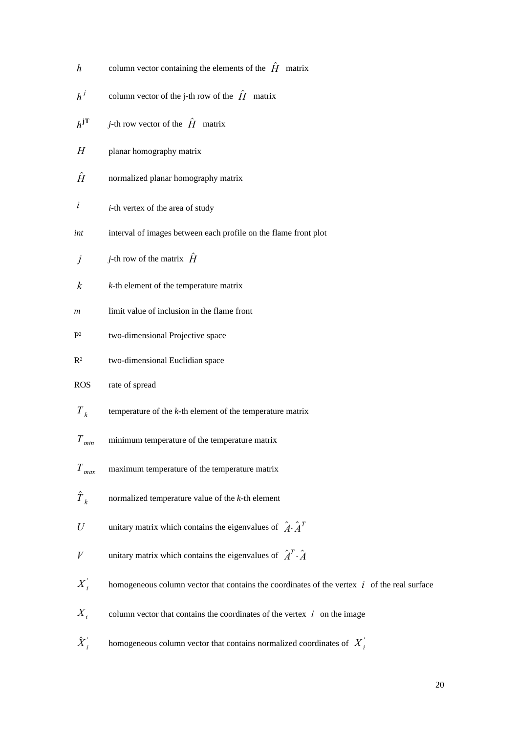| $\boldsymbol{h}$ | column vector containing the elements of the $\hat{H}$ matrix                                 |
|------------------|-----------------------------------------------------------------------------------------------|
| $h^j$            | column vector of the j-th row of the $\hat{H}$ matrix                                         |
| $h^{jT}$         | <i>j</i> -th row vector of the $\hat{H}$ matrix                                               |
| H                | planar homography matrix                                                                      |
| $\hat{H}$        | normalized planar homography matrix                                                           |
| i                | i-th vertex of the area of study                                                              |
| int              | interval of images between each profile on the flame front plot                               |
| Ĵ                | <i>j</i> -th row of the matrix $\hat{H}$                                                      |
| $\boldsymbol{k}$ | $k$ -th element of the temperature matrix                                                     |
| $\boldsymbol{m}$ | limit value of inclusion in the flame front                                                   |
| $\mathbf{P}^2$   | two-dimensional Projective space                                                              |
| $\mathbb{R}^2$   | two-dimensional Euclidian space                                                               |
| <b>ROS</b>       | rate of spread                                                                                |
| $T_{k}$          | temperature of the $k$ -th element of the temperature matrix                                  |
| $T_{\rm \,min}$  | minimum temperature of the temperature matrix                                                 |
| $T_{max}$        | maximum temperature of the temperature matrix                                                 |
| $\hat{T}_{k}$    | normalized temperature value of the $k$ -th element                                           |
| $\mathcal U$     | unitary matrix which contains the eigenvalues of $\hat{A} \cdot \hat{A}^T$                    |
| $\boldsymbol{V}$ | unitary matrix which contains the eigenvalues of $\hat{A}^T \cdot \hat{A}$                    |
| $X_i^{'}$        | homogeneous column vector that contains the coordinates of the vertex $i$ of the real surface |
| $X_i$            | column vector that contains the coordinates of the vertex $i$ on the image                    |
| $\hat{X}_i'$     | homogeneous column vector that contains normalized coordinates of $X_i$                       |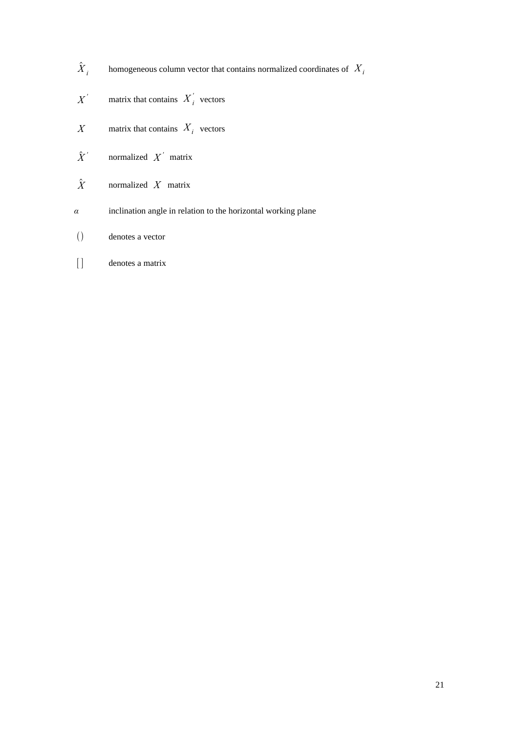- $\hat{\overline{X}}_i$ homogeneous column vector that contains normalized coordinates of *X<sup>i</sup>*
- *X '* $X_i$  wectors
- *X* matrix that contains  $X_i$  vectors
- *X '* normalized *X '* matrix
- $\hat{X}$  normalized *X* matrix
- *α* inclination angle in relation to the horizontal working plane
- denotes a vector
- [] denotes a matrix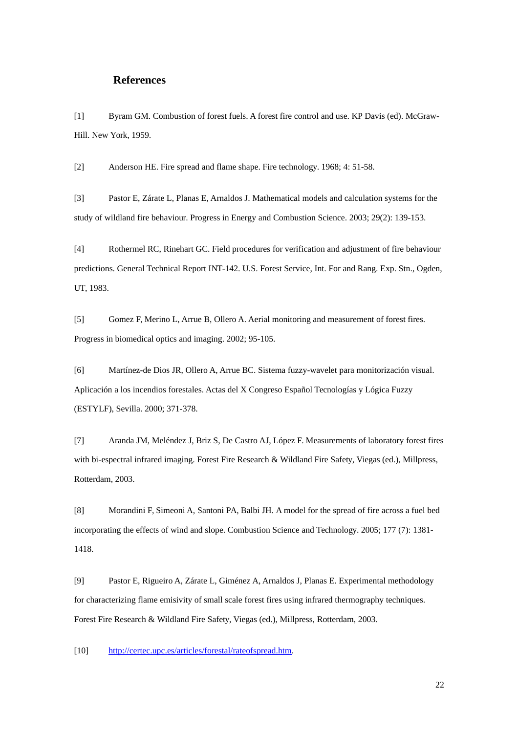### **References**

[1] Byram GM. Combustion of forest fuels. A forest fire control and use. KP Davis (ed). McGraw-Hill. New York, 1959.

[2] Anderson HE. Fire spread and flame shape. Fire technology. 1968; 4: 51-58.

[3] Pastor E, Zárate L, Planas E, Arnaldos J. Mathematical models and calculation systems for the study of wildland fire behaviour. Progress in Energy and Combustion Science. 2003; 29(2): 139-153.

[4] Rothermel RC, Rinehart GC. Field procedures for verification and adjustment of fire behaviour predictions. General Technical Report INT-142. U.S. Forest Service, Int. For and Rang. Exp. Stn., Ogden, UT, 1983.

[5] Gomez F, Merino L, Arrue B, Ollero A. Aerial monitoring and measurement of forest fires. Progress in biomedical optics and imaging. 2002; 95-105.

[6] Martínez-de Dios JR, Ollero A, Arrue BC. Sistema fuzzy-wavelet para monitorización visual. Aplicación a los incendios forestales. Actas del X Congreso Español Tecnologías y Lógica Fuzzy (ESTYLF), Sevilla. 2000; 371-378.

[7] Aranda JM, Meléndez J, Briz S, De Castro AJ, López F. Measurements of laboratory forest fires with bi-espectral infrared imaging. Forest Fire Research & Wildland Fire Safety, Viegas (ed.), Millpress, Rotterdam, 2003.

[8] Morandini F, Simeoni A, Santoni PA, Balbi JH. A model for the spread of fire across a fuel bed incorporating the effects of wind and slope. Combustion Science and Technology. 2005; 177 (7): 1381- 1418.

[9] Pastor E, Rigueiro A, Zárate L, Giménez A, Arnaldos J, Planas E. Experimental methodology for characterizing flame emisivity of small scale forest fires using infrared thermography techniques. Forest Fire Research & Wildland Fire Safety, Viegas (ed.), Millpress, Rotterdam, 2003.

[10] [http://certec.upc.es](http://certec.upc.es/)/articles/forestal/rateofspread.htm.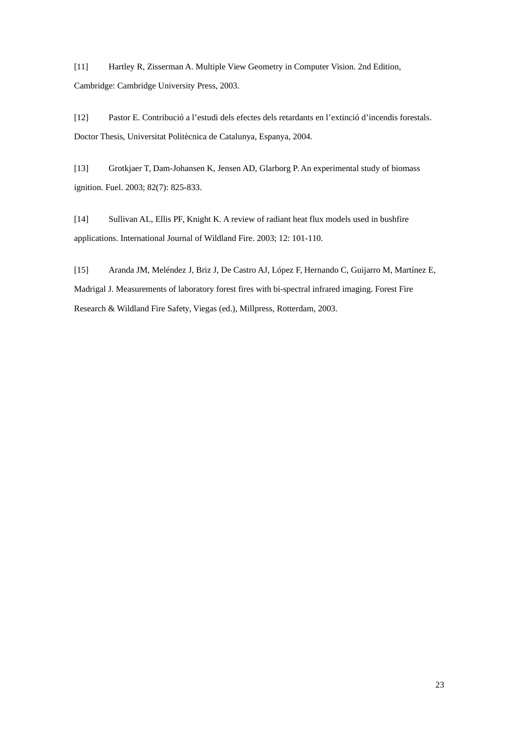[11] Hartley R, Zisserman A. Multiple View Geometry in Computer Vision. 2nd Edition, Cambridge: Cambridge University Press, 2003.

[12] Pastor E. Contribució a l'estudi dels efectes dels retardants en l'extinció d'incendis forestals. Doctor Thesis, Universitat Politècnica de Catalunya, Espanya, 2004.

[13] Grotkjaer T, Dam-Johansen K, Jensen AD, Glarborg P.An experimental study of biomass ignition. Fuel. 2003; 82(7): 825-833.

[14] Sullivan AL, Ellis PF, Knight K. A review of radiant heat flux models used in bushfire applications. International Journal of Wildland Fire. 2003; 12: 101-110.

[15] Aranda JM, Meléndez J, Briz J, De Castro AJ, López F, Hernando C, Guijarro M, Martínez E, Madrigal J. Measurements of laboratory forest fires with bi-spectral infrared imaging. Forest Fire Research & Wildland Fire Safety, Viegas (ed.), Millpress, Rotterdam, 2003.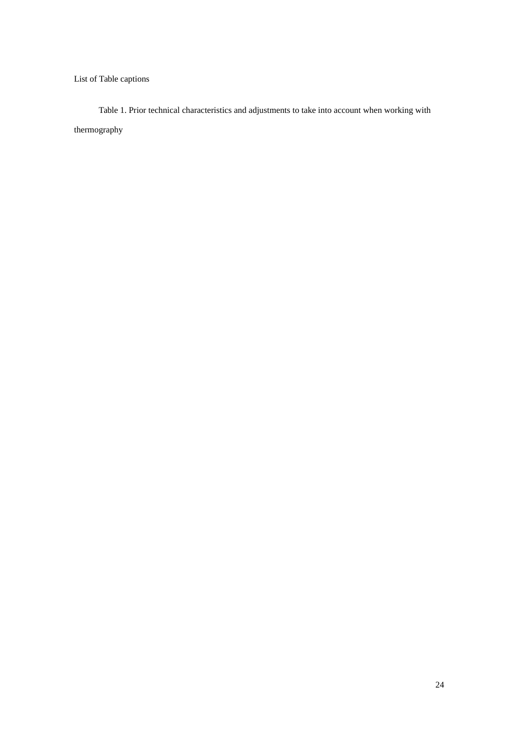List of Table captions

Table 1. Prior technical characteristics and adjustments to take into account when working with thermography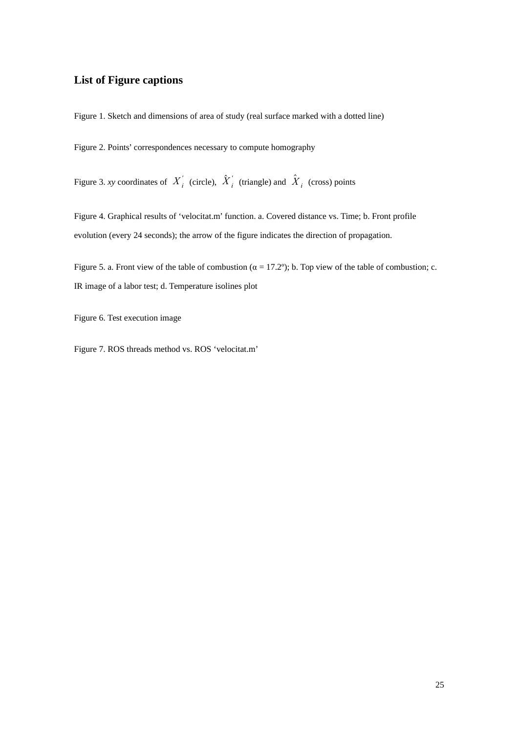# **List of Figure captions**

Figure 1. Sketch and dimensions of area of study (real surface marked with a dotted line)

Figure 2. Points' correspondences necessary to compute homography

Figure 3. *xy* coordinates of  $X_i'$  (circle),  $\hat{X}_i'$  (triangle) and  $\hat{X}_i$  (cross) points

Figure 4. Graphical results of 'velocitat.m' function. a. Covered distance vs. Time; b. Front profile evolution (every 24 seconds); the arrow of the figure indicates the direction of propagation.

Figure 5. a. Front view of the table of combustion ( $\alpha = 17.2^{\circ}$ ); b. Top view of the table of combustion; c. IR image of a labor test; d. Temperature isolines plot

Figure 6. Test execution image

Figure 7. ROS threads method vs. ROS 'velocitat.m'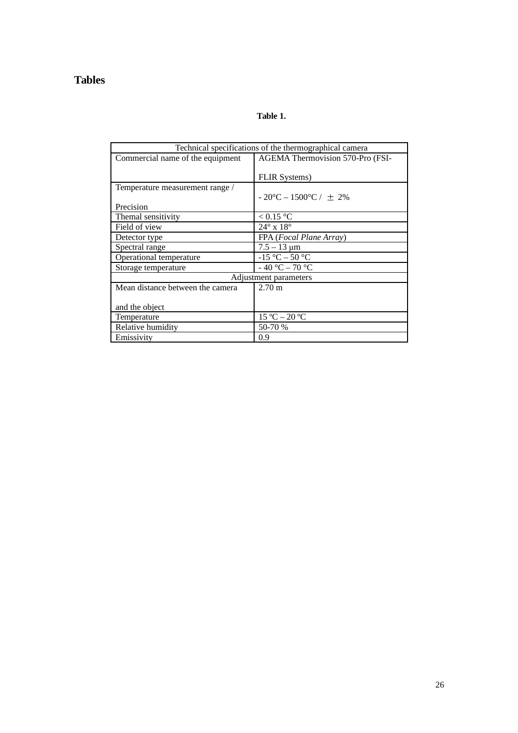# **Tables**

# **Table 1.**

| Technical specifications of the thermographical camera |                                                |  |  |
|--------------------------------------------------------|------------------------------------------------|--|--|
| Commercial name of the equipment                       | AGEMA Thermovision 570-Pro (FSI-               |  |  |
|                                                        |                                                |  |  |
|                                                        | FLIR Systems)                                  |  |  |
| Temperature measurement range /                        |                                                |  |  |
|                                                        | $-20^{\circ}$ C $-1500^{\circ}$ C $/$ $\pm$ 2% |  |  |
| Precision                                              |                                                |  |  |
| Themal sensitivity                                     | $< 0.15$ °C                                    |  |  |
| Field of view                                          | $24^\circ \times 18^\circ$                     |  |  |
| Detector type                                          | FPA (Focal Plane Array)                        |  |  |
| Spectral range                                         | $7.5 - 13 \text{ µm}$                          |  |  |
| Operational temperature                                | -15 °C - 50 °C                                 |  |  |
| Storage temperature                                    | $-40 °C - 70 °C$                               |  |  |
| Adjustment parameters                                  |                                                |  |  |
| Mean distance between the camera                       | $2.70 \text{ m}$                               |  |  |
|                                                        |                                                |  |  |
| and the object                                         |                                                |  |  |
| Temperature                                            | $15 °C - 20 °C$                                |  |  |
| Relative humidity                                      | 50-70 %                                        |  |  |
| Emissivity                                             | 0.9                                            |  |  |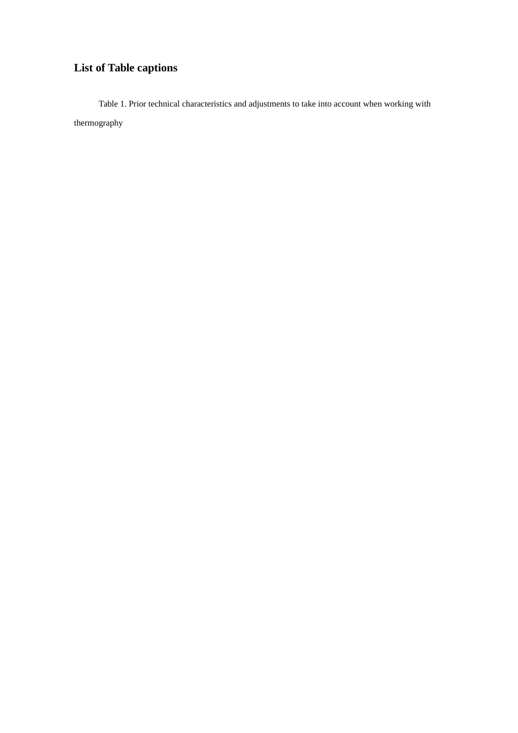# **List of Table captions**

Table 1. Prior technical characteristics and adjustments to take into account when working with thermography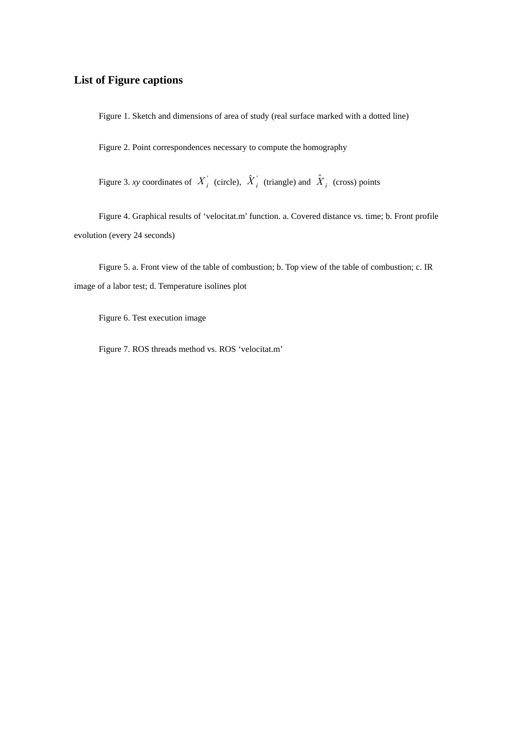# **List of Figure captions**

Figure 1. Sketch and dimensions of area of study (real surface marked with a dotted line)

Figure 2. Point correspondences necessary to compute the homography

Figure 3. *xy* coordinates of  $X_i'$  (circle),  $\hat{X}_i'$  (triangle) and  $\hat{X}_i$  (cross) points

Figure 4. Graphical results of 'velocitat.m' function. a. Covered distance vs. time; b. Front profile evolution (every 24 seconds)

Figure 5. a. Front view of the table of combustion; b. Top view of the table of combustion; c. IR image of a labor test; d. Temperature isolines plot

Figure 6. Test execution image

Figure 7. ROS threads method vs. ROS 'velocitat.m'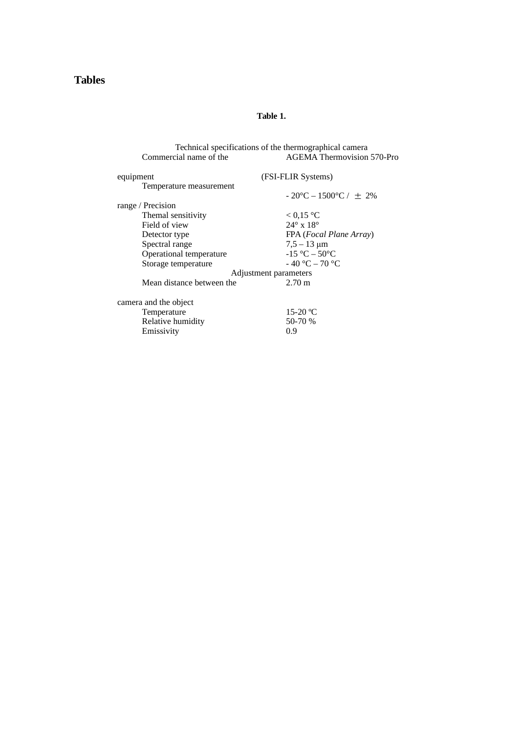# **Tables**

# **Table 1.**

|                        | Technical specifications of the thermographical camera |
|------------------------|--------------------------------------------------------|
| Commercial name of the | <b>AGEMA Thermovision 570-Pro</b>                      |

| equipment                 | (FSI-FLIR Systems)                     |  |  |  |
|---------------------------|----------------------------------------|--|--|--|
| Temperature measurement   |                                        |  |  |  |
|                           | $-20\degree C - 1500\degree C / + 2\%$ |  |  |  |
| range / Precision         |                                        |  |  |  |
| Themal sensitivity        | $< 0.15$ °C                            |  |  |  |
| Field of view             | $24^\circ \times 18^\circ$             |  |  |  |
| Detector type             | FPA ( <i>Focal Plane Array</i> )       |  |  |  |
| Spectral range            | $7.5 - 13 \mu m$                       |  |  |  |
| Operational temperature   | $-15\text{ °C} - 50\text{ °C}$         |  |  |  |
| Storage temperature       | $-40 °C - 70 °C$                       |  |  |  |
|                           | Adjustment parameters                  |  |  |  |
| Mean distance between the | $2.70 \text{ m}$                       |  |  |  |
| camera and the object     |                                        |  |  |  |
| Temperature               | 15-20 °C                               |  |  |  |
| Relative humidity         | 50-70 %                                |  |  |  |
| Emissivity                | 0.9                                    |  |  |  |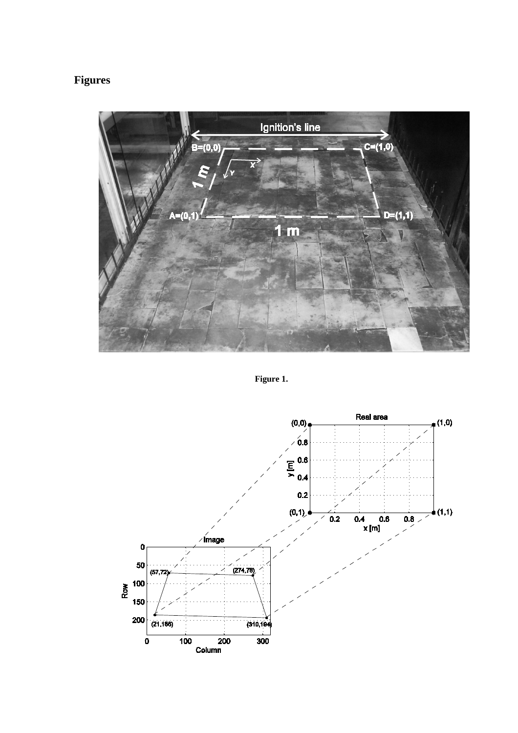# **Figures**



**Figure 1.**

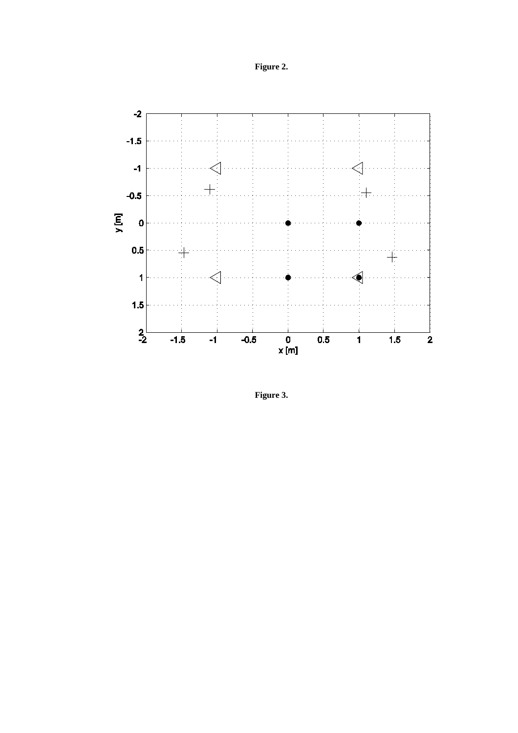



**Figure 3.**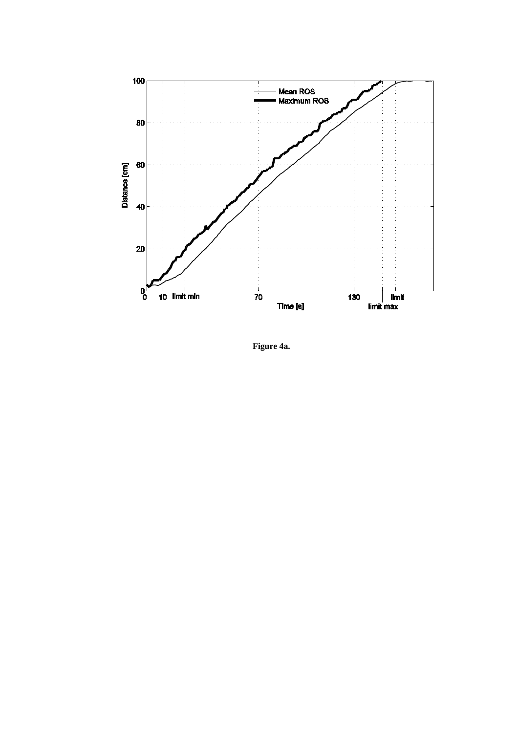

**Figure 4a.**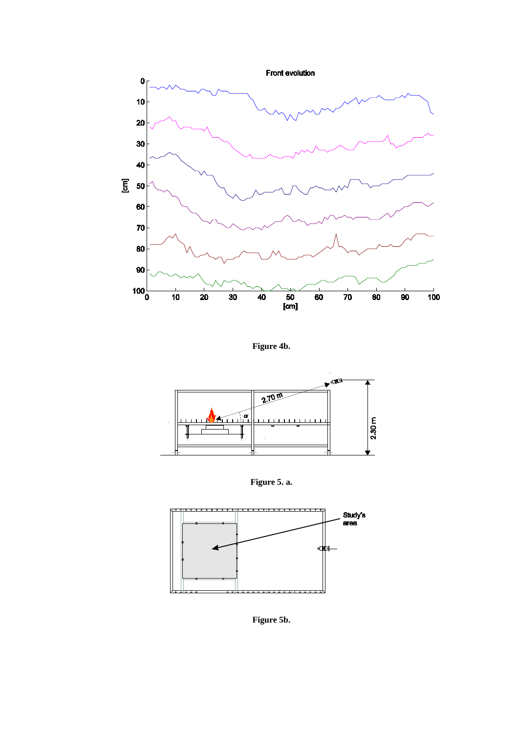

**Figure 4b.**



**Figure 5. a.**



**Figure 5b.**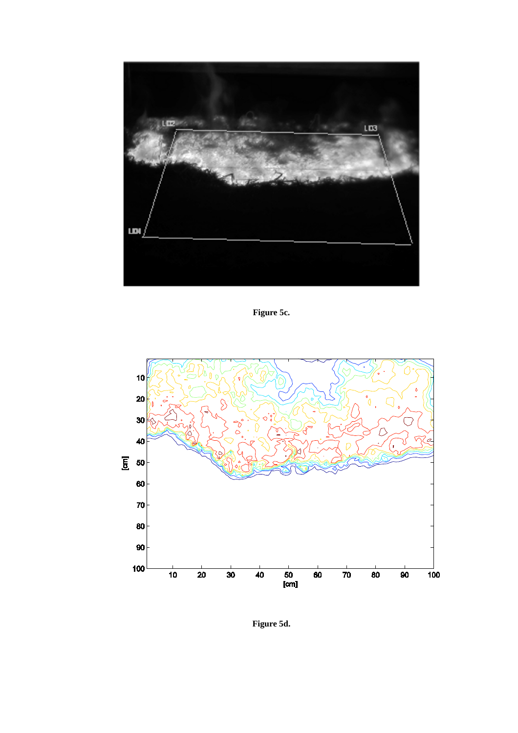

**Figure 5c.**



**Figure 5d.**